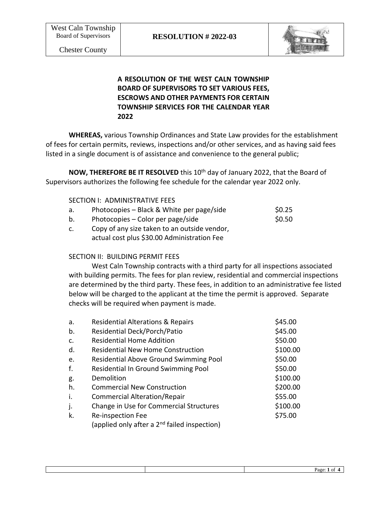

## **A RESOLUTION OF THE WEST CALN TOWNSHIP BOARD OF SUPERVISORS TO SET VARIOUS FEES, ESCROWS AND OTHER PAYMENTS FOR CERTAIN TOWNSHIP SERVICES FOR THE CALENDAR YEAR 2022**

**WHEREAS,** various Township Ordinances and State Law provides for the establishment of fees for certain permits, reviews, inspections and/or other services, and as having said fees listed in a single document is of assistance and convenience to the general public;

**NOW, THEREFORE BE IT RESOLVED** this 10<sup>th</sup> day of January 2022, that the Board of Supervisors authorizes the following fee schedule for the calendar year 2022 only.

- a. Photocopies Black & White per page/side  $$0.25$
- b. Photocopies Color per page/side  $$0.50$
- c. Copy of any size taken to an outside vendor, actual cost plus \$30.00 Administration Fee

### SECTION II: BUILDING PERMIT FEES

West Caln Township contracts with a third party for all inspections associated with building permits. The fees for plan review, residential and commercial inspections are determined by the third party. These fees, in addition to an administrative fee listed below will be charged to the applicant at the time the permit is approved. Separate checks will be required when payment is made.

| a. | <b>Residential Alterations &amp; Repairs</b>             | \$45.00  |
|----|----------------------------------------------------------|----------|
| b. | Residential Deck/Porch/Patio                             | \$45.00  |
| C. | <b>Residential Home Addition</b>                         | \$50.00  |
| d. | <b>Residential New Home Construction</b>                 | \$100.00 |
| e. | <b>Residential Above Ground Swimming Pool</b>            | \$50.00  |
| f. | Residential In Ground Swimming Pool                      | \$50.00  |
| g. | Demolition                                               | \$100.00 |
| h. | <b>Commercial New Construction</b>                       | \$200.00 |
| i. | <b>Commercial Alteration/Repair</b>                      | \$55.00  |
| j. | Change in Use for Commercial Structures                  | \$100.00 |
| k. | Re-inspection Fee                                        | \$75.00  |
|    | (applied only after a 2 <sup>nd</sup> failed inspection) |          |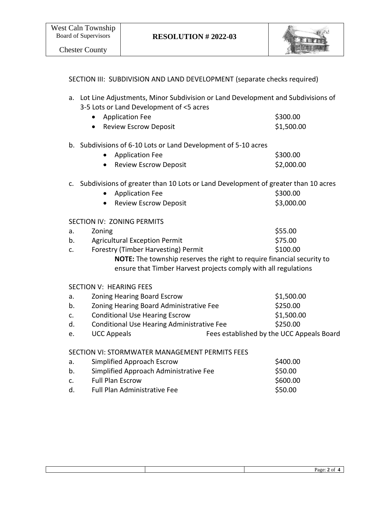

## SECTION III: SUBDIVISION AND LAND DEVELOPMENT (separate checks required)

| a. Lot Line Adjustments, Minor Subdivision or Land Development and Subdivisions of |
|------------------------------------------------------------------------------------|
| 3-5 Lots or Land Development of <5 acres                                           |

| • Application Fee       | \$300.00   |
|-------------------------|------------|
| • Review Escrow Deposit | \$1,500.00 |

### b. Subdivisions of 6-10 Lots or Land Development of 5-10 acres

| • Application Fee     | \$300.00   |
|-----------------------|------------|
| Review Escrow Deposit | \$2,000.00 |

# c. Subdivisions of greater than 10 Lots or Land Development of greater than 10 acres

| • Application Fee     | \$300.00   |
|-----------------------|------------|
| Review Escrow Deposit | \$3,000.00 |

#### SECTION IV: ZONING PERMITS

| a.             | Zoning                                                                        | \$55.00  |
|----------------|-------------------------------------------------------------------------------|----------|
| b.             | <b>Agricultural Exception Permit</b>                                          | \$75.00  |
| $\mathsf{C}$ . | Forestry (Timber Harvesting) Permit                                           | \$100.00 |
|                | <b>NOTE:</b> The township reserves the right to require financial security to |          |
|                | ensure that Timber Harvest projects comply with all regulations               |          |
|                |                                                                               |          |

#### SECTION V: HEARING FEES

| a.             | <b>Zoning Hearing Board Escrow</b>         |                                           | \$1,500.00 |
|----------------|--------------------------------------------|-------------------------------------------|------------|
| b.             | Zoning Hearing Board Administrative Fee    |                                           | \$250.00   |
| $\mathsf{C}$ . | <b>Conditional Use Hearing Escrow</b>      |                                           | \$1,500.00 |
| d.             | Conditional Use Hearing Administrative Fee |                                           | \$250.00   |
| e.             | <b>UCC Appeals</b>                         | Fees established by the UCC Appeals Board |            |

## SECTION VI: STORMWATER MANAGEMENT PERMITS FEES

| а.             | Simplified Approach Escrow             | \$400.00 |
|----------------|----------------------------------------|----------|
| b.             | Simplified Approach Administrative Fee | \$50.00  |
| $\mathsf{C}$ . | <b>Full Plan Escrow</b>                | \$600.00 |
| d.             | <b>Full Plan Administrative Fee</b>    | \$50.00  |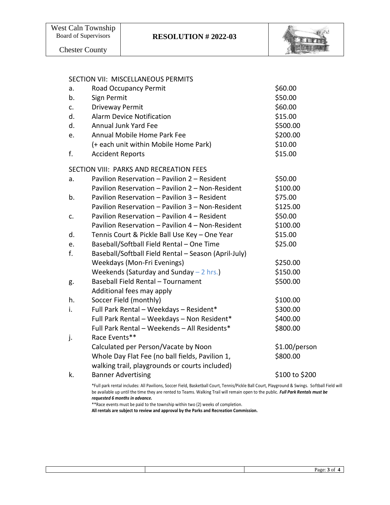

Chester County

#### SECTION VII: MISCELLANEOUS PERMITS

| a. | Road Occupancy Permit                                | \$60.00        |
|----|------------------------------------------------------|----------------|
| b. | Sign Permit                                          | \$50.00        |
| c. | Driveway Permit                                      | \$60.00        |
| d. | <b>Alarm Device Notification</b>                     | \$15.00        |
| d. | <b>Annual Junk Yard Fee</b>                          | \$500.00       |
| e. | Annual Mobile Home Park Fee                          | \$200.00       |
|    | (+ each unit within Mobile Home Park)                | \$10.00        |
| f. | <b>Accident Reports</b>                              | \$15.00        |
|    | SECTION VIII: PARKS AND RECREATION FEES              |                |
| a. | Pavilion Reservation - Pavilion 2 - Resident         | \$50.00        |
|    | Pavilion Reservation - Pavilion 2 - Non-Resident     | \$100.00       |
| b. | Pavilion Reservation - Pavilion 3 - Resident         | \$75.00        |
|    | Pavilion Reservation - Pavilion 3 - Non-Resident     | \$125.00       |
| c. | Pavilion Reservation - Pavilion 4 - Resident         | \$50.00        |
|    | Pavilion Reservation - Pavilion 4 - Non-Resident     | \$100.00       |
| d. | Tennis Court & Pickle Ball Use Key - One Year        | \$15.00        |
| e. | Baseball/Softball Field Rental - One Time            | \$25.00        |
| f. | Baseball/Softball Field Rental - Season (April-July) |                |
|    | Weekdays (Mon-Fri Evenings)                          | \$250.00       |
|    | Weekends (Saturday and Sunday $-2$ hrs.)             | \$150.00       |
| g. | Baseball Field Rental - Tournament                   | \$500.00       |
|    | Additional fees may apply                            |                |
| h. | Soccer Field (monthly)                               | \$100.00       |
| i. | Full Park Rental - Weekdays - Resident*              | \$300.00       |
|    | Full Park Rental - Weekdays - Non Resident*          | \$400.00       |
|    | Full Park Rental - Weekends - All Residents*         | \$800.00       |
| j. | Race Events**                                        |                |
|    | Calculated per Person/Vacate by Noon                 | \$1.00/person  |
|    | Whole Day Flat Fee (no ball fields, Pavilion 1,      | \$800.00       |
|    | walking trail, playgrounds or courts included)       |                |
| k. | <b>Banner Advertising</b>                            | \$100 to \$200 |
|    |                                                      |                |

\*Full park rental includes: All Pavilions, Soccer Field, Basketball Court, Tennis/Pickle Ball Court, Playground & Swings. Softball Field will be available up until the time they are rented to Teams. Walking Trail will remain open to the public. *Full Park Rentals must be requested 6 months in advance.*

\*\*Race events must be paid to the township within two (2) weeks of completion.

**All rentals are subject to review and approval by the Parks and Recreation Commission.**